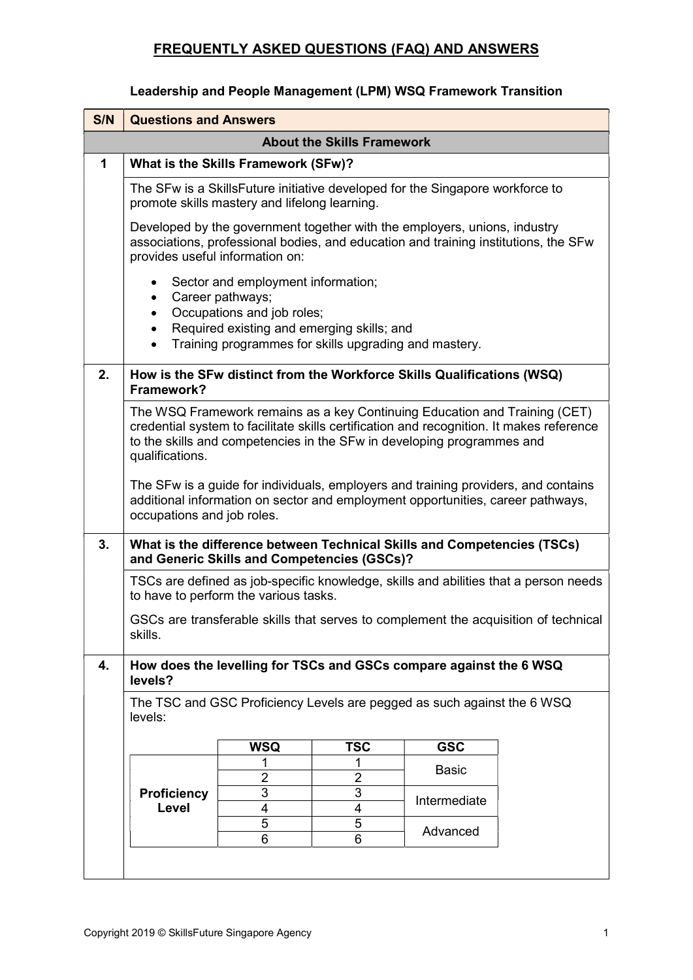#### Leadership and People Management (LPM) WSQ Framework Transition

| S/N | <b>Questions and Answers</b>                                                                                                                                                                                                                                        |                                                                                                                                                                         |            |              |  |  |  |  |  |
|-----|---------------------------------------------------------------------------------------------------------------------------------------------------------------------------------------------------------------------------------------------------------------------|-------------------------------------------------------------------------------------------------------------------------------------------------------------------------|------------|--------------|--|--|--|--|--|
|     | <b>About the Skills Framework</b>                                                                                                                                                                                                                                   |                                                                                                                                                                         |            |              |  |  |  |  |  |
| 1   | What is the Skills Framework (SFw)?                                                                                                                                                                                                                                 |                                                                                                                                                                         |            |              |  |  |  |  |  |
|     | The SFw is a SkillsFuture initiative developed for the Singapore workforce to<br>promote skills mastery and lifelong learning.                                                                                                                                      |                                                                                                                                                                         |            |              |  |  |  |  |  |
|     | Developed by the government together with the employers, unions, industry<br>associations, professional bodies, and education and training institutions, the SFw<br>provides useful information on:                                                                 |                                                                                                                                                                         |            |              |  |  |  |  |  |
|     | $\bullet$<br>Career pathways;<br>$\bullet$                                                                                                                                                                                                                          | Sector and employment information;<br>Occupations and job roles;<br>Required existing and emerging skills; and<br>Training programmes for skills upgrading and mastery. |            |              |  |  |  |  |  |
| 2.  | How is the SFw distinct from the Workforce Skills Qualifications (WSQ)<br>Framework?                                                                                                                                                                                |                                                                                                                                                                         |            |              |  |  |  |  |  |
|     | The WSQ Framework remains as a key Continuing Education and Training (CET)<br>credential system to facilitate skills certification and recognition. It makes reference<br>to the skills and competencies in the SFw in developing programmes and<br>qualifications. |                                                                                                                                                                         |            |              |  |  |  |  |  |
|     | The SFw is a guide for individuals, employers and training providers, and contains<br>additional information on sector and employment opportunities, career pathways,<br>occupations and job roles.                                                                 |                                                                                                                                                                         |            |              |  |  |  |  |  |
| 3.  | What is the difference between Technical Skills and Competencies (TSCs)<br>and Generic Skills and Competencies (GSCs)?                                                                                                                                              |                                                                                                                                                                         |            |              |  |  |  |  |  |
|     | TSCs are defined as job-specific knowledge, skills and abilities that a person needs<br>to have to perform the various tasks.                                                                                                                                       |                                                                                                                                                                         |            |              |  |  |  |  |  |
|     | GSCs are transferable skills that serves to complement the acquisition of technical<br>skills.                                                                                                                                                                      |                                                                                                                                                                         |            |              |  |  |  |  |  |
| 4.  | How does the levelling for TSCs and GSCs compare against the 6 WSQ<br>levels?                                                                                                                                                                                       |                                                                                                                                                                         |            |              |  |  |  |  |  |
|     | The TSC and GSC Proficiency Levels are pegged as such against the 6 WSQ<br>levels:                                                                                                                                                                                  |                                                                                                                                                                         |            |              |  |  |  |  |  |
|     |                                                                                                                                                                                                                                                                     | <b>WSQ</b>                                                                                                                                                              | <b>TSC</b> | <b>GSC</b>   |  |  |  |  |  |
|     |                                                                                                                                                                                                                                                                     | 2                                                                                                                                                                       | 1<br>2     | <b>Basic</b> |  |  |  |  |  |
|     | <b>Proficiency</b>                                                                                                                                                                                                                                                  | 3                                                                                                                                                                       | 3          |              |  |  |  |  |  |
|     | Level                                                                                                                                                                                                                                                               | 4                                                                                                                                                                       | 4          | Intermediate |  |  |  |  |  |
|     |                                                                                                                                                                                                                                                                     | 5                                                                                                                                                                       | 5          | Advanced     |  |  |  |  |  |
|     |                                                                                                                                                                                                                                                                     | 6                                                                                                                                                                       | 6          |              |  |  |  |  |  |
|     |                                                                                                                                                                                                                                                                     |                                                                                                                                                                         |            |              |  |  |  |  |  |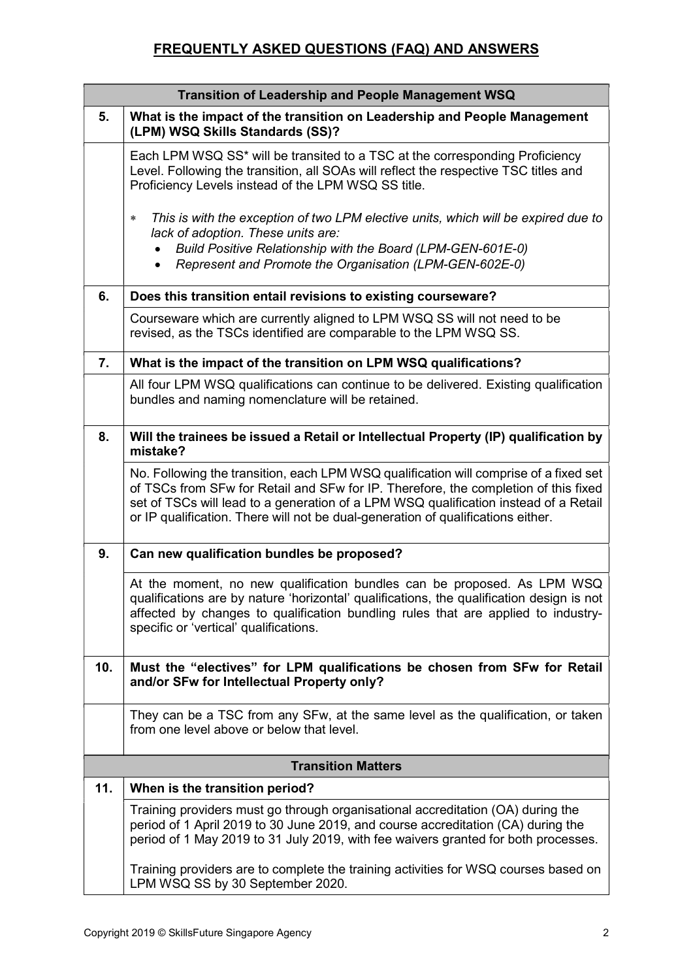| Transition of Leadership and People Management WSQ |                                                                                                                                                                                                                                                                                                                                                          |  |  |  |  |  |
|----------------------------------------------------|----------------------------------------------------------------------------------------------------------------------------------------------------------------------------------------------------------------------------------------------------------------------------------------------------------------------------------------------------------|--|--|--|--|--|
| 5.                                                 | What is the impact of the transition on Leadership and People Management<br>(LPM) WSQ Skills Standards (SS)?                                                                                                                                                                                                                                             |  |  |  |  |  |
|                                                    | Each LPM WSQ SS <sup>*</sup> will be transited to a TSC at the corresponding Proficiency<br>Level. Following the transition, all SOAs will reflect the respective TSC titles and<br>Proficiency Levels instead of the LPM WSQ SS title.                                                                                                                  |  |  |  |  |  |
|                                                    | This is with the exception of two LPM elective units, which will be expired due to<br>$\ast$<br>lack of adoption. These units are:<br>Build Positive Relationship with the Board (LPM-GEN-601E-0)<br>Represent and Promote the Organisation (LPM-GEN-602E-0)                                                                                             |  |  |  |  |  |
| 6.                                                 | Does this transition entail revisions to existing courseware?                                                                                                                                                                                                                                                                                            |  |  |  |  |  |
|                                                    | Courseware which are currently aligned to LPM WSQ SS will not need to be<br>revised, as the TSCs identified are comparable to the LPM WSQ SS.                                                                                                                                                                                                            |  |  |  |  |  |
| 7.                                                 | What is the impact of the transition on LPM WSQ qualifications?                                                                                                                                                                                                                                                                                          |  |  |  |  |  |
|                                                    | All four LPM WSQ qualifications can continue to be delivered. Existing qualification<br>bundles and naming nomenclature will be retained.                                                                                                                                                                                                                |  |  |  |  |  |
| 8.                                                 | Will the trainees be issued a Retail or Intellectual Property (IP) qualification by<br>mistake?                                                                                                                                                                                                                                                          |  |  |  |  |  |
|                                                    | No. Following the transition, each LPM WSQ qualification will comprise of a fixed set<br>of TSCs from SFw for Retail and SFw for IP. Therefore, the completion of this fixed<br>set of TSCs will lead to a generation of a LPM WSQ qualification instead of a Retail<br>or IP qualification. There will not be dual-generation of qualifications either. |  |  |  |  |  |
| 9.                                                 | Can new qualification bundles be proposed?                                                                                                                                                                                                                                                                                                               |  |  |  |  |  |
|                                                    | At the moment, no new qualification bundles can be proposed. As LPM WSQ<br>qualifications are by nature 'horizontal' qualifications, the qualification design is not<br>affected by changes to qualification bundling rules that are applied to industry-<br>specific or 'vertical' qualifications.                                                      |  |  |  |  |  |
| 10.                                                | Must the "electives" for LPM qualifications be chosen from SFw for Retail<br>and/or SFw for Intellectual Property only?                                                                                                                                                                                                                                  |  |  |  |  |  |
|                                                    | They can be a TSC from any SFw, at the same level as the qualification, or taken<br>from one level above or below that level.                                                                                                                                                                                                                            |  |  |  |  |  |
|                                                    | <b>Transition Matters</b>                                                                                                                                                                                                                                                                                                                                |  |  |  |  |  |
| 11.                                                | When is the transition period?                                                                                                                                                                                                                                                                                                                           |  |  |  |  |  |
|                                                    | Training providers must go through organisational accreditation (OA) during the<br>period of 1 April 2019 to 30 June 2019, and course accreditation (CA) during the<br>period of 1 May 2019 to 31 July 2019, with fee waivers granted for both processes.                                                                                                |  |  |  |  |  |
|                                                    | Training providers are to complete the training activities for WSQ courses based on<br>LPM WSQ SS by 30 September 2020.                                                                                                                                                                                                                                  |  |  |  |  |  |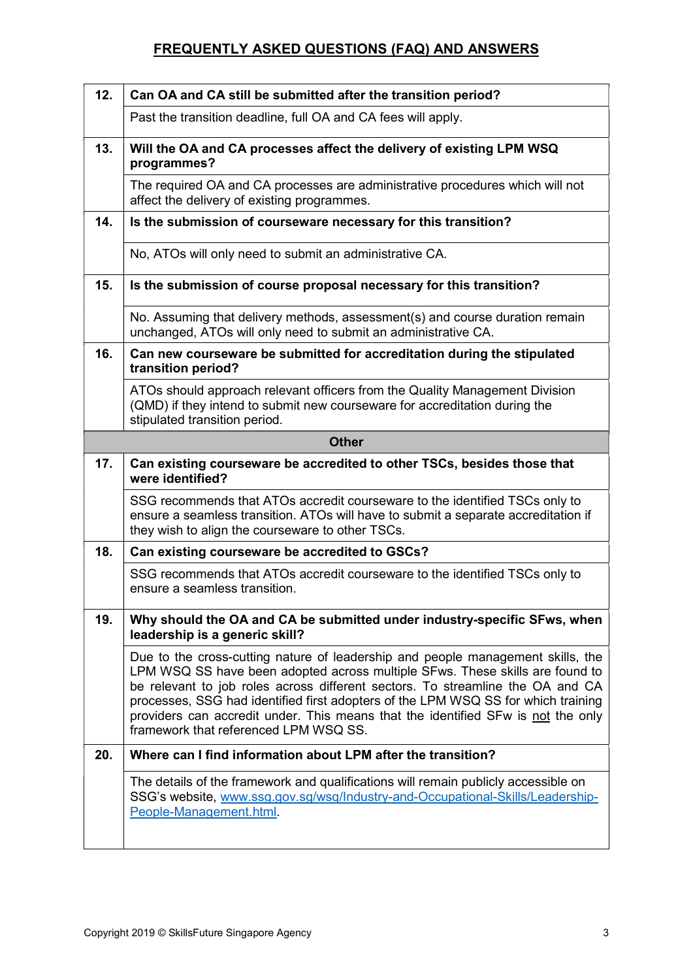| 12. | Can OA and CA still be submitted after the transition period?                                                                                                                                                                                                                                                                                                                                                                                                       |  |  |  |  |  |  |
|-----|---------------------------------------------------------------------------------------------------------------------------------------------------------------------------------------------------------------------------------------------------------------------------------------------------------------------------------------------------------------------------------------------------------------------------------------------------------------------|--|--|--|--|--|--|
|     | Past the transition deadline, full OA and CA fees will apply.                                                                                                                                                                                                                                                                                                                                                                                                       |  |  |  |  |  |  |
| 13. | Will the OA and CA processes affect the delivery of existing LPM WSQ<br>programmes?                                                                                                                                                                                                                                                                                                                                                                                 |  |  |  |  |  |  |
|     | The required OA and CA processes are administrative procedures which will not<br>affect the delivery of existing programmes.                                                                                                                                                                                                                                                                                                                                        |  |  |  |  |  |  |
| 14. | Is the submission of courseware necessary for this transition?                                                                                                                                                                                                                                                                                                                                                                                                      |  |  |  |  |  |  |
|     | No, ATOs will only need to submit an administrative CA.                                                                                                                                                                                                                                                                                                                                                                                                             |  |  |  |  |  |  |
| 15. | Is the submission of course proposal necessary for this transition?                                                                                                                                                                                                                                                                                                                                                                                                 |  |  |  |  |  |  |
|     | No. Assuming that delivery methods, assessment(s) and course duration remain<br>unchanged, ATOs will only need to submit an administrative CA.                                                                                                                                                                                                                                                                                                                      |  |  |  |  |  |  |
| 16. | Can new courseware be submitted for accreditation during the stipulated<br>transition period?                                                                                                                                                                                                                                                                                                                                                                       |  |  |  |  |  |  |
|     | ATOs should approach relevant officers from the Quality Management Division<br>(QMD) if they intend to submit new courseware for accreditation during the<br>stipulated transition period.                                                                                                                                                                                                                                                                          |  |  |  |  |  |  |
|     | <b>Other</b>                                                                                                                                                                                                                                                                                                                                                                                                                                                        |  |  |  |  |  |  |
| 17. | Can existing courseware be accredited to other TSCs, besides those that<br>were identified?                                                                                                                                                                                                                                                                                                                                                                         |  |  |  |  |  |  |
|     | SSG recommends that ATOs accredit courseware to the identified TSCs only to<br>ensure a seamless transition. ATOs will have to submit a separate accreditation if<br>they wish to align the courseware to other TSCs.                                                                                                                                                                                                                                               |  |  |  |  |  |  |
| 18. | Can existing courseware be accredited to GSCs?                                                                                                                                                                                                                                                                                                                                                                                                                      |  |  |  |  |  |  |
|     | SSG recommends that ATOs accredit courseware to the identified TSCs only to<br>ensure a seamless transition.                                                                                                                                                                                                                                                                                                                                                        |  |  |  |  |  |  |
| 19. | Why should the OA and CA be submitted under industry-specific SFws, when<br>leadership is a generic skill?                                                                                                                                                                                                                                                                                                                                                          |  |  |  |  |  |  |
|     | Due to the cross-cutting nature of leadership and people management skills, the<br>LPM WSQ SS have been adopted across multiple SFws. These skills are found to<br>be relevant to job roles across different sectors. To streamline the OA and CA<br>processes, SSG had identified first adopters of the LPM WSQ SS for which training<br>providers can accredit under. This means that the identified SFw is not the only<br>framework that referenced LPM WSQ SS. |  |  |  |  |  |  |
| 20. | Where can I find information about LPM after the transition?                                                                                                                                                                                                                                                                                                                                                                                                        |  |  |  |  |  |  |
|     | The details of the framework and qualifications will remain publicly accessible on<br>SSG's website, www.ssg.gov.sg/wsq/Industry-and-Occupational-Skills/Leadership-<br>People-Management.html.                                                                                                                                                                                                                                                                     |  |  |  |  |  |  |